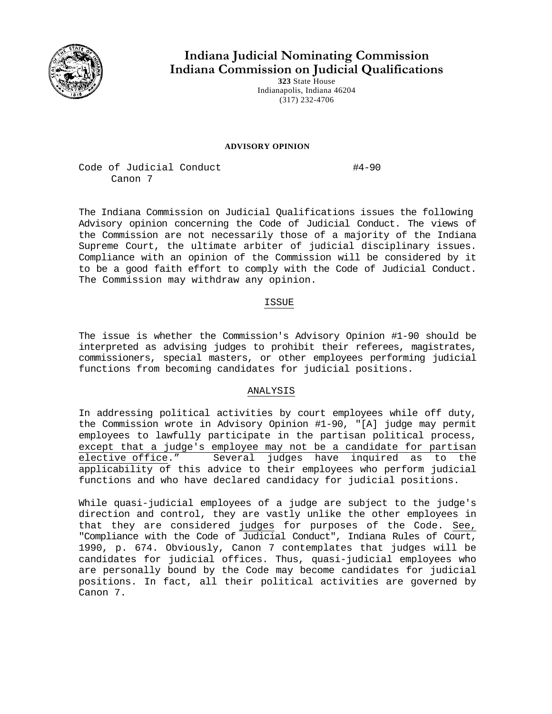

**Indiana Judicial Nominating Commission Indiana Commission on Judicial Qualifications** 

**323** State House Indianapolis, Indiana 46204 (317) 232-4706

## **ADVISORY OPINION**

Code of Judicial Conduct #4-90 Canon 7

The Indiana Commission on Judicial Qualifications issues the following Advisory opinion concerning the Code of Judicial Conduct. The views of the Commission are not necessarily those of a majority of the Indiana Supreme Court, the ultimate arbiter of judicial disciplinary issues. Compliance with an opinion of the Commission will be considered by it to be a good faith effort to comply with the Code of Judicial Conduct. The Commission may withdraw any opinion.

## ISSUE

The issue is whether the Commission's Advisory Opinion #1-90 should be interpreted as advising judges to prohibit their referees, magistrates, commissioners, special masters, or other employees performing judicial functions from becoming candidates for judicial positions.

## ANALYSIS

In addressing political activities by court employees while off duty, the Commission wrote in Advisory Opinion #1-90, "[A] judge may permit employees to lawfully participate in the partisan political process, except that a judge's employee may not be a candidate for partisan elective office." Several judges have inquired as to the applicability of this advice to their employees who perform judicial functions and who have declared candidacy for judicial positions.

While quasi-judicial employees of a judge are subject to the judge's direction and control, they are vastly unlike the other employees in that they are considered judges for purposes of the Code. See, "Compliance with the Code of Judicial Conduct", Indiana Rules of Court, 1990, p. 674. Obviously, Canon 7 contemplates that judges will be candidates for judicial offices. Thus, quasi-judicial employees who are personally bound by the Code may become candidates for judicial positions. In fact, all their political activities are governed by Canon 7.